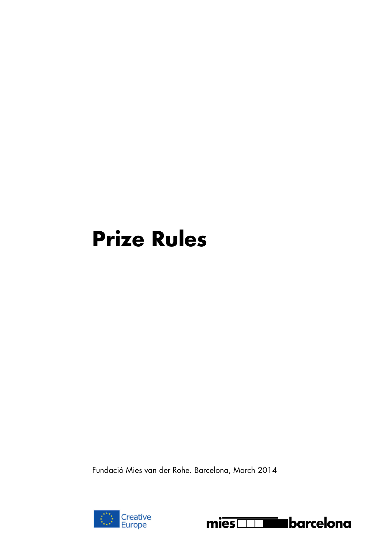# **Prize Rules**

Fundació Mies van der Rohe. Barcelona, March 2014



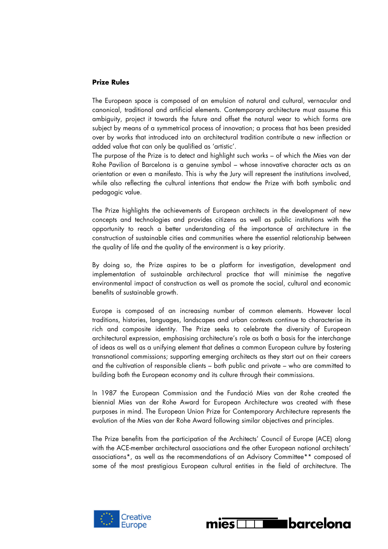## **Prize Rules**

The European space is composed of an emulsion of natural and cultural, vernacular and canonical, traditional and artificial elements. Contemporary architecture must assume this ambiguity, project it towards the future and offset the natural wear to which forms are subject by means of a symmetrical process of innovation; a process that has been presided over by works that introduced into an architectural tradition contribute a new inflection or added value that can only be qualified as 'artistic'.

The purpose of the Prize is to detect and highlight such works – of which the Mies van der Rohe Pavilion of Barcelona is a genuine symbol – whose innovative character acts as an orientation or even a manifesto. This is why the Jury will represent the institutions involved, while also reflecting the cultural intentions that endow the Prize with both symbolic and pedagogic value.

The Prize highlights the achievements of European architects in the development of new concepts and technologies and provides citizens as well as public institutions with the opportunity to reach a better understanding of the importance of architecture in the construction of sustainable cities and communities where the essential relationship between the quality of life and the quality of the environment is a key priority.

By doing so, the Prize aspires to be a platform for investigation, development and implementation of sustainable architectural practice that will minimise the negative environmental impact of construction as well as promote the social, cultural and economic benefits of sustainable growth.

Europe is composed of an increasing number of common elements. However local traditions, histories, languages, landscapes and urban contexts continue to characterise its rich and composite identity. The Prize seeks to celebrate the diversity of European architectural expression, emphasising architecture's role as both a basis for the interchange of ideas as well as a unifying element that defines a common European culture by fostering transnational commissions; supporting emerging architects as they start out on their careers and the cultivation of responsible clients – both public and private – who are committed to building both the European economy and its culture through their commissions.

In 1987 the European Commission and the Fundació Mies van der Rohe created the biennial Mies van der Rohe Award for European Architecture was created with these purposes in mind. The European Union Prize for Contemporary Architecture represents the evolution of the Mies van der Rohe Award following similar objectives and principles.

The Prize benefits from the participation of the Architects' Council of Europe (ACE) along with the ACE-member architectural associations and the other European national architects' associations\*, as well as the recommendations of an Advisory Committee\*\* composed of some of the most prestigious European cultural entities in the field of architecture. The



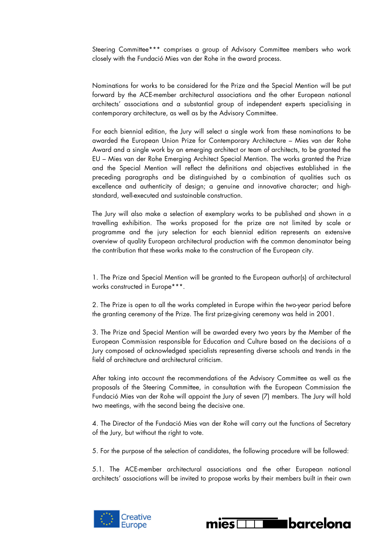Steering Committee\*\*\* comprises a group of Advisory Committee members who work closely with the Fundació Mies van der Rohe in the award process.

Nominations for works to be considered for the Prize and the Special Mention will be put forward by the ACE-member architectural associations and the other European national architects' associations and a substantial group of independent experts specialising in contemporary architecture, as well as by the Advisory Committee.

For each biennial edition, the Jury will select a single work from these nominations to be awarded the European Union Prize for Contemporary Architecture – Mies van der Rohe Award and a single work by an emerging architect or team of architects, to be granted the EU – Mies van der Rohe Emerging Architect Special Mention. The works granted the Prize and the Special Mention will reflect the definitions and objectives established in the preceding paragraphs and be distinguished by a combination of qualities such as excellence and authenticity of design; a genuine and innovative character; and highstandard, well-executed and sustainable construction.

The Jury will also make a selection of exemplary works to be published and shown in a travelling exhibition. The works proposed for the prize are not limited by scale or programme and the jury selection for each biennial edition represents an extensive overview of quality European architectural production with the common denominator being the contribution that these works make to the construction of the European city.

1. The Prize and Special Mention will be granted to the European author(s) of architectural works constructed in Europe\*\*\*.

2. The Prize is open to all the works completed in Europe within the two-year period before the granting ceremony of the Prize. The first prize-giving ceremony was held in 2001.

3. The Prize and Special Mention will be awarded every two years by the Member of the European Commission responsible for Education and Culture based on the decisions of a Jury composed of acknowledged specialists representing diverse schools and trends in the field of architecture and architectural criticism.

After taking into account the recommendations of the Advisory Committee as well as the proposals of the Steering Committee, in consultation with the European Commission the Fundació Mies van der Rohe will appoint the Jury of seven (7) members. The Jury will hold two meetings, with the second being the decisive one.

4. The Director of the Fundació Mies van der Rohe will carry out the functions of Secretary of the Jury, but without the right to vote.

5. For the purpose of the selection of candidates, the following procedure will be followed:

5.1. The ACE-member architectural associations and the other European national architects' associations will be invited to propose works by their members built in their own



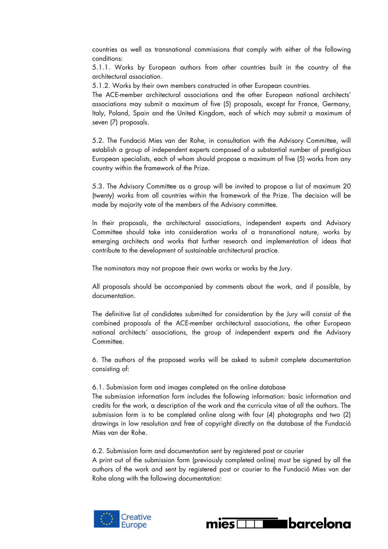countries as well as transnational commissions that comply with either of the following conditions:

5.1.1. Works by European authors from other countries built in the country of the architectural association.

5.1.2. Works by their own members constructed in other European countries.

The ACE-member architectural associations and the other European national architects' associations may submit a maximum of five (5) proposals, except for France, Germany, Italy, Poland, Spain and the United Kingdom, each of which may submit a maximum of seven (7) proposals.

5.2. The Fundació Mies van der Rohe, in consultation with the Advisory Committee, will establish a group of independent experts composed of a substantial number of prestigious European specialists, each of whom should propose a maximum of five (5) works from any country within the framework of the Prize.

5.3. The Advisory Committee as a group will be invited to propose a list of maximum 20 (twenty) works from all countries within the framework of the Prize. The decision will be made by majority vote of the members of the Advisory committee.

In their proposals, the architectural associations, independent experts and Advisory Committee should take into consideration works of a transnational nature, works by emerging architects and works that further research and implementation of ideas that contribute to the development of sustainable architectural practice.

The nominators may not propose their own works or works by the Jury.

All proposals should be accompanied by comments about the work, and if possible, by documentation.

The definitive list of candidates submitted for consideration by the Jury will consist of the combined proposals of the ACE-member architectural associations, the other European national architects' associations, the group of independent experts and the Advisory Committee.

6. The authors of the proposed works will be asked to submit complete documentation consisting of:

# 6.1. Submission form and images completed on the online database

The submission information form includes the following information: basic information and credits for the work, a description of the work and the curricula vitae of all the authors. The submission form is to be completed online along with four (4) photographs and two (2) drawings in low resolution and free of copyright directly on the database of the Fundació Mies van der Rohe.

6.2. Submission form and documentation sent by registered post or courier

A print out of the submission form (previously completed online) must be signed by all the authors of the work and sent by registered post or courier to the Fundació Mies van der Rohe along with the following documentation:



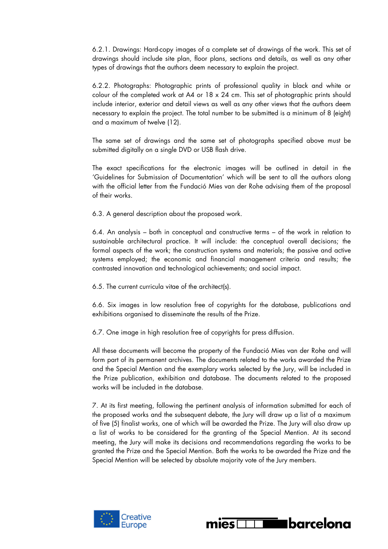6.2.1. Drawings: Hard-copy images of a complete set of drawings of the work. This set of drawings should include site plan, floor plans, sections and details, as well as any other types of drawings that the authors deem necessary to explain the project.

6.2.2. Photographs: Photographic prints of professional quality in black and white or colour of the completed work at A4 or 18 x 24 cm. This set of photographic prints should include interior, exterior and detail views as well as any other views that the authors deem necessary to explain the project. The total number to be submitted is a minimum of 8 (eight) and a maximum of twelve (12).

The same set of drawings and the same set of photographs specified above must be submitted digitally on a single DVD or USB flash drive.

The exact specifications for the electronic images will be outlined in detail in the 'Guidelines for Submission of Documentation' which will be sent to all the authors along with the official letter from the Fundació Mies van der Rohe advising them of the proposal of their works.

6.3. A general description about the proposed work.

6.4. An analysis – both in conceptual and constructive terms – of the work in relation to sustainable architectural practice. It will include: the conceptual overall decisions; the formal aspects of the work; the construction systems and materials; the passive and active systems employed; the economic and financial management criteria and results; the contrasted innovation and technological achievements; and social impact.

6.5. The current curricula vitae of the architect(s).

6.6. Six images in low resolution free of copyrights for the database, publications and exhibitions organised to disseminate the results of the Prize.

6.7. One image in high resolution free of copyrights for press diffusion.

All these documents will become the property of the Fundació Mies van der Rohe and will form part of its permanent archives. The documents related to the works awarded the Prize and the Special Mention and the exemplary works selected by the Jury, will be included in the Prize publication, exhibition and database. The documents related to the proposed works will be included in the database.

7. At its first meeting, following the pertinent analysis of information submitted for each of the proposed works and the subsequent debate, the Jury will draw up a list of a maximum of five (5) finalist works, one of which will be awarded the Prize. The Jury will also draw up a list of works to be considered for the granting of the Special Mention. At its second meeting, the Jury will make its decisions and recommendations regarding the works to be granted the Prize and the Special Mention. Both the works to be awarded the Prize and the Special Mention will be selected by absolute majority vote of the Jury members.



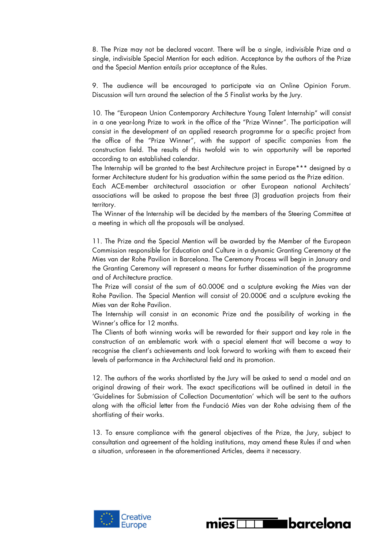8. The Prize may not be declared vacant. There will be a single, indivisible Prize and a single, indivisible Special Mention for each edition. Acceptance by the authors of the Prize and the Special Mention entails prior acceptance of the Rules.

9. The audience will be encouraged to participate via an Online Opinion Forum. Discussion will turn around the selection of the 5 Finalist works by the Jury.

10. The "European Union Contemporary Architecture Young Talent Internship" will consist in a one year-long Prize to work in the office of the "Prize Winner". The participation will consist in the development of an applied research programme for a specific project from the office of the "Prize Winner", with the support of specific companies from the construction field. The results of this twofold win to win opportunity will be reported according to an established calendar.

The Internship will be granted to the best Architecture project in Europe\*\*\* designed by a former Architecture student for his graduation within the same period as the Prize edition.

Each ACE-member architectural association or other European national Architects' associations will be asked to propose the best three (3) graduation projects from their territory.

The Winner of the Internship will be decided by the members of the Steering Committee at a meeting in which all the proposals will be analysed.

11. The Prize and the Special Mention will be awarded by the Member of the European Commission responsible for Education and Culture in a dynamic Granting Ceremony at the Mies van der Rohe Pavilion in Barcelona. The Ceremony Process will begin in January and the Granting Ceremony will represent a means for further dissemination of the programme and of Architecture practice.

The Prize will consist of the sum of 60.000€ and a sculpture evoking the Mies van der Rohe Pavilion. The Special Mention will consist of 20.000€ and a sculpture evoking the Mies van der Rohe Pavilion.

The Internship will consist in an economic Prize and the possibility of working in the Winner's office for 12 months.

The Clients of both winning works will be rewarded for their support and key role in the construction of an emblematic work with a special element that will become a way to recognise the client's achievements and look forward to working with them to exceed their levels of performance in the Architectural field and its promotion.

12. The authors of the works shortlisted by the Jury will be asked to send a model and an original drawing of their work. The exact specifications will be outlined in detail in the 'Guidelines for Submission of Collection Documentation' which will be sent to the authors along with the official letter from the Fundació Mies van der Rohe advising them of the shortlisting of their works.

13. To ensure compliance with the general objectives of the Prize, the Jury, subject to consultation and agreement of the holding institutions, may amend these Rules if and when a situation, unforeseen in the aforementioned Articles, deems it necessary.



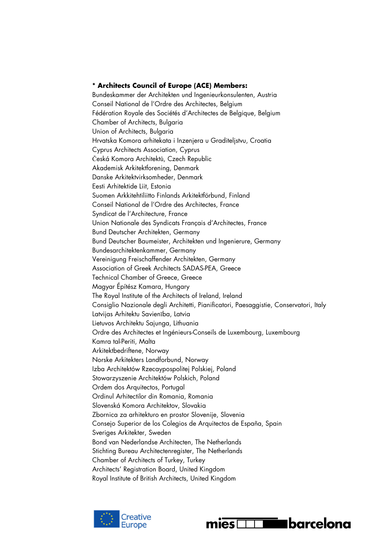## **\* Architects Council of Europe (ACE) Members:**

Bundeskammer der Architekten und Ingenieurkonsulenten, Austria Conseil National de l'Ordre des Architectes, Belgium Fédération Royale des Sociétés d'Architectes de Belgique, Belgium Chamber of Architects, Bulgaria Union of Architects, Bulgaria Hrvatska Komora arhitekata i Inzenjera u Graditeljstvu, Croatia Cyprus Architects Association, Cyprus Česká Komora Architektů, Czech Republic Akademisk Arkitektforening, Denmark Danske Arkitektvirksomheder, Denmark Eesti Arhitektide Liit, Estonia Suomen Arkkitehtiliitto Finlands Arkitektförbund, Finland Conseil National de l'Ordre des Architectes, France Syndicat de l'Architecture, France Union Nationale des Syndicats Français d'Architectes, France Bund Deutscher Architekten, Germany Bund Deutscher Baumeister, Architekten und Ingenierure, Germany Bundesarchitektenkammer, Germany Vereinigung Freischaffender Architekten, Germany Association of Greek Architects SADAS-PEA, Greece Technical Chamber of Greece, Greece Magyar Építész Kamara, Hungary The Royal Institute of the Architects of Ireland, Ireland Consiglio Nazionale degli Architetti, Pianificatori, Paesaggistie, Conservatori, Italy Latvijas Arhitektu Savienība, Latvia Lietuvos Architektu Sajunga, Lithuania Ordre des Architectes et Ingénieurs-Conseils de Luxembourg, Luxembourg Kamra tal-Periti, Malta Arkitektbedriftene, Norway Norske Arkitekters Landforbund, Norway Izba Architektów Rzecaypospolitej Polskiej, Poland Stowarzyszenie Architektów Polskich, Poland Ordem dos Arquitectos, Portugal Ordinul Arhitectilor din Romania, Romania Slovenská Komora Architektov, Slovakia Zbornica za arhitekturo en prostor Slovenije, Slovenia Consejo Superior de los Colegios de Arquitectos de España, Spain Sveriges Arkitekter, Sweden Bond van Nederlandse Architecten, The Netherlands Stichting Bureau Architectenregister, The Netherlands Chamber of Architects of Turkey, Turkey Architects' Registration Board, United Kingdom Royal Institute of British Architects, United Kingdom